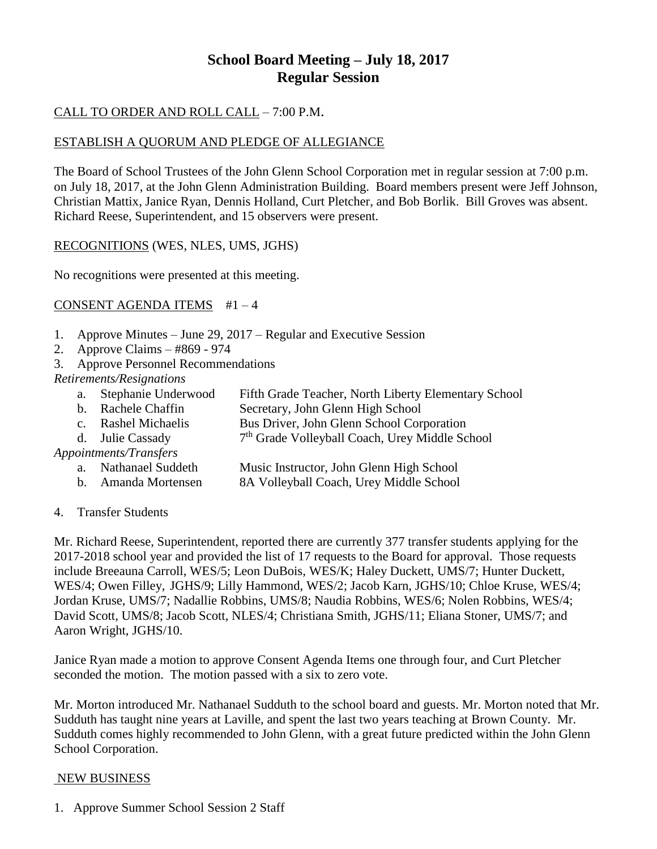# **School Board Meeting – July 18, 2017 Regular Session**

## CALL TO ORDER AND ROLL CALL – 7:00 P.M.

### ESTABLISH A QUORUM AND PLEDGE OF ALLEGIANCE

The Board of School Trustees of the John Glenn School Corporation met in regular session at 7:00 p.m. on July 18, 2017, at the John Glenn Administration Building. Board members present were Jeff Johnson, Christian Mattix, Janice Ryan, Dennis Holland, Curt Pletcher, and Bob Borlik. Bill Groves was absent. Richard Reese, Superintendent, and 15 observers were present.

### RECOGNITIONS (WES, NLES, UMS, JGHS)

No recognitions were presented at this meeting.

### CONSENT AGENDA ITEMS #1 – 4

- 1. Approve Minutes June 29, 2017 Regular and Executive Session
- 2. Approve Claims #869 974
- 3. Approve Personnel Recommendations

#### *Retirements/Resignations*

- a. Stephanie Underwood Fifth Grade Teacher, North Liberty Elementary School
- Secretary, John Glenn High School
- c. Rashel Michaelis Bus Driver, John Glenn School Corporation
- d. Julie Cassady 7 7<sup>th</sup> Grade Volleyball Coach, Urey Middle School

### *Appointments/Transfers*

- a. Nathanael Suddeth Music Instructor, John Glenn High School
- b. Amanda Mortensen 8A Volleyball Coach, Urey Middle School
- 4. Transfer Students

Mr. Richard Reese, Superintendent, reported there are currently 377 transfer students applying for the 2017-2018 school year and provided the list of 17 requests to the Board for approval. Those requests include Breeauna Carroll, WES/5; Leon DuBois, WES/K; Haley Duckett, UMS/7; Hunter Duckett, WES/4; Owen Filley, JGHS/9; Lilly Hammond, WES/2; Jacob Karn, JGHS/10; Chloe Kruse, WES/4; Jordan Kruse, UMS/7; Nadallie Robbins, UMS/8; Naudia Robbins, WES/6; Nolen Robbins, WES/4; David Scott, UMS/8; Jacob Scott, NLES/4; Christiana Smith, JGHS/11; Eliana Stoner, UMS/7; and Aaron Wright, JGHS/10.

Janice Ryan made a motion to approve Consent Agenda Items one through four, and Curt Pletcher seconded the motion. The motion passed with a six to zero vote.

Mr. Morton introduced Mr. Nathanael Sudduth to the school board and guests. Mr. Morton noted that Mr. Sudduth has taught nine years at Laville, and spent the last two years teaching at Brown County. Mr. Sudduth comes highly recommended to John Glenn, with a great future predicted within the John Glenn School Corporation.

#### NEW BUSINESS

1. Approve Summer School Session 2 Staff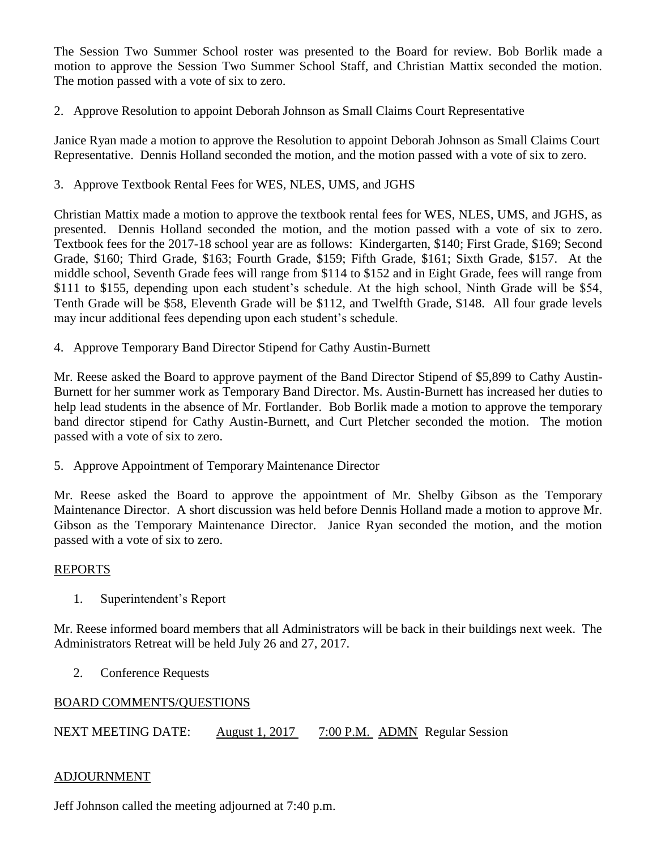The Session Two Summer School roster was presented to the Board for review. Bob Borlik made a motion to approve the Session Two Summer School Staff, and Christian Mattix seconded the motion. The motion passed with a vote of six to zero.

### 2. Approve Resolution to appoint Deborah Johnson as Small Claims Court Representative

Janice Ryan made a motion to approve the Resolution to appoint Deborah Johnson as Small Claims Court Representative. Dennis Holland seconded the motion, and the motion passed with a vote of six to zero.

#### 3. Approve Textbook Rental Fees for WES, NLES, UMS, and JGHS

Christian Mattix made a motion to approve the textbook rental fees for WES, NLES, UMS, and JGHS, as presented. Dennis Holland seconded the motion, and the motion passed with a vote of six to zero. Textbook fees for the 2017-18 school year are as follows: Kindergarten, \$140; First Grade, \$169; Second Grade, \$160; Third Grade, \$163; Fourth Grade, \$159; Fifth Grade, \$161; Sixth Grade, \$157. At the middle school, Seventh Grade fees will range from \$114 to \$152 and in Eight Grade, fees will range from \$111 to \$155, depending upon each student's schedule. At the high school, Ninth Grade will be \$54, Tenth Grade will be \$58, Eleventh Grade will be \$112, and Twelfth Grade, \$148. All four grade levels may incur additional fees depending upon each student's schedule.

4. Approve Temporary Band Director Stipend for Cathy Austin-Burnett

Mr. Reese asked the Board to approve payment of the Band Director Stipend of \$5,899 to Cathy Austin-Burnett for her summer work as Temporary Band Director. Ms. Austin-Burnett has increased her duties to help lead students in the absence of Mr. Fortlander. Bob Borlik made a motion to approve the temporary band director stipend for Cathy Austin-Burnett, and Curt Pletcher seconded the motion. The motion passed with a vote of six to zero.

5. Approve Appointment of Temporary Maintenance Director

Mr. Reese asked the Board to approve the appointment of Mr. Shelby Gibson as the Temporary Maintenance Director. A short discussion was held before Dennis Holland made a motion to approve Mr. Gibson as the Temporary Maintenance Director. Janice Ryan seconded the motion, and the motion passed with a vote of six to zero.

#### REPORTS

1. Superintendent's Report

Mr. Reese informed board members that all Administrators will be back in their buildings next week. The Administrators Retreat will be held July 26 and 27, 2017.

2. Conference Requests

#### BOARD COMMENTS/QUESTIONS

NEXT MEETING DATE: August 1, 2017 7:00 P.M. ADMN Regular Session

#### ADJOURNMENT

Jeff Johnson called the meeting adjourned at 7:40 p.m.